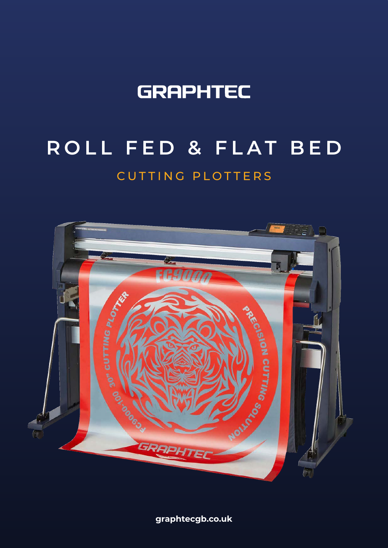## **GRAPHTEC**

# CUTTING PLOTTERS **ROLL FED & FLAT BED**



**graphtecgb.co.uk**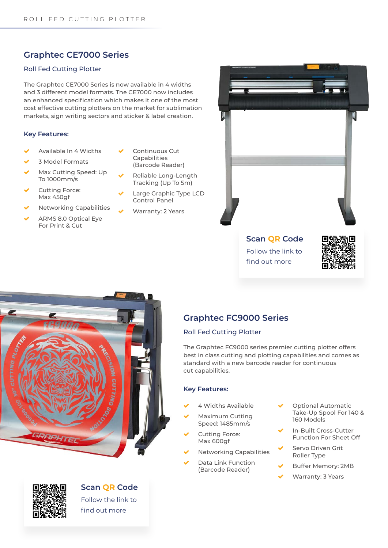## **Graphtec CE7000 Series**

#### Roll Fed Cutting Plotter

The Graphtec CE7000 Series is now available in 4 widths and 3 different model formats. The CE7000 now includes an enhanced specification which makes it one of the most cost effective cutting plotters on the market for sublimation markets, sign writing sectors and sticker & label creation.

#### **Key Features:**

- Available In 4 Widths
- 3 Model Formats
- Max Cutting Speed: Up To 1000mm/s
- Cutting Force: Max 450gf
- Networking Capabilities
- ARMS 8.0 Optical Eye For Print & Cut
- Continuous Cut Capabilities (Barcode Reader)
- Reliable Long-Length Tracking (Up To 5m)
- Large Graphic Type LCD Control Panel
- Warranty: 2 Years



## **Scan QR Code** Follow the link to find out more







## Roll Fed Cutting Plotter

The Graphtec FC9000 series premier cutting plotter offers best in class cutting and plotting capabilities and comes as standard with a new barcode reader for continuous cut capabilities.

#### **Key Features:**

- 4 Widths Available
- Maximum Cutting Speed: 1485mm/s
- Cutting Force: Max 600gf
- Networking Capabilities
- Data Link Function (Barcode Reader)
- Optional Automatic Take-Up Spool For 140 & 160 Models
- In-Built Cross-Cutter Function For Sheet Off
- Servo Driven Grit Roller Type
- Buffer Memory: 2MB
- Warranty: 3 Years



**Scan QR Code** Follow the link to

find out more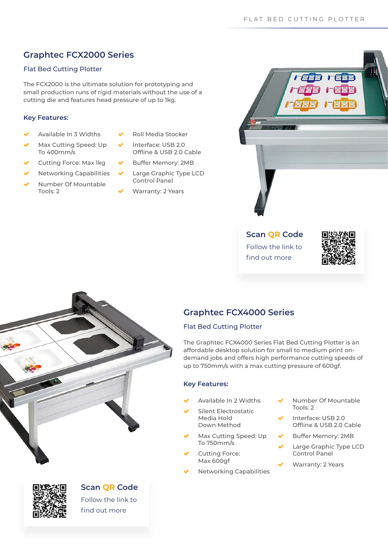## **Graphtec FCX2000 Series**

## Flat Bed Cutting Plotter

The FCX2000 is the ultimate solution for prototyping and small production runs of rigid materials without the use of a cutting die and features head pressure of up to 1kg.

#### **Key Features:**

- Available In 3 Widths
- Max Cutting Speed: Up To 400mm/s
- Cutting Force: Max 1kg
- Networking Capabilities
- Number Of Mountable Tools: 2
- Roll Media Stocker
- Interface: USB 2.0 Offline & USB 2.0 Cable
- Buffer Memory: 2MB
- Large Graphic Type LCD Control Panel
- Warranty: 2 Years



**Scan QR Code** Follow the link to find out more



## **Graphtec FCX4000 Series**

### Flat Bed Cutting Plotter

The Graphtec FCX4000 Series Flat Bed Cutting Plotter is an affordable desktop solution for small to medium print ondemand jobs and offers high performance cutting speeds of up to 750mm/s with a max cutting pressure of 600gf.

### **Key Features:**

- Available In 2 Widths
- Silent Electrostatic Media Hold Down Method
- Max Cutting Speed: Up To 750mm/s
	- Cutting Force: Max 600gf
- Networking Capabilities
- Number Of Mountable Tools: 2
- Interface: USB 2.0 Offline & USB 2.0 Cable
- Buffer Memory: 2MB
- Large Graphic Type LCD Control Panel
- Warranty: 2 Years





## **Scan QR Code**

Follow the link to find out more